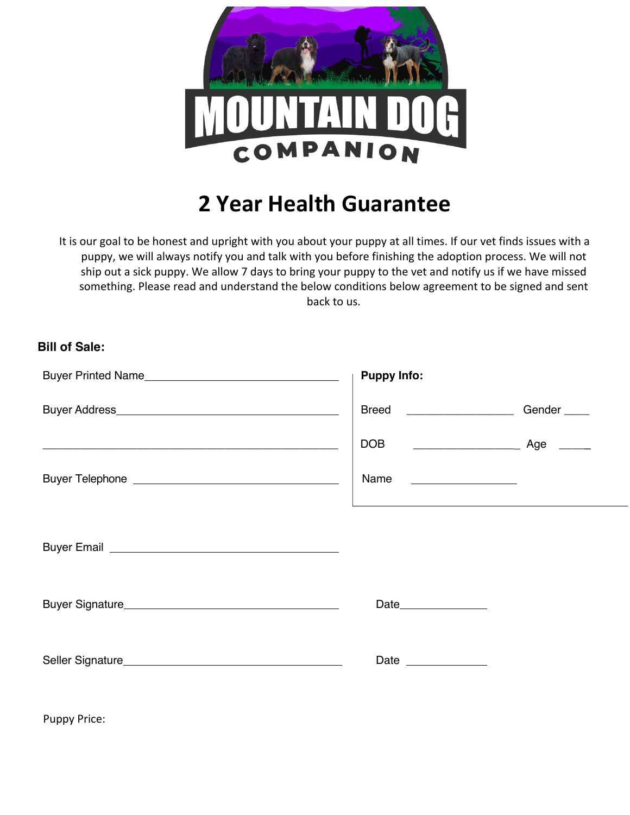

## **2 Year Health Guarantee**

It is our goal to be honest and upright with you about your puppy at all times. If our vet finds issues with a puppy, we will always notify you and talk with you before finishing the adoption process. We will not ship out a sick puppy. We allow 7 days to bring your puppy to the vet and notify us if we have missed something. Please read and understand the below conditions below agreement to be signed and sent back to us.

## **Bill of Sale:**

| <b>Puppy Info:</b>                                                         |                         |
|----------------------------------------------------------------------------|-------------------------|
| Breed ____________________                                                 | Gender <sub>_____</sub> |
| <b>DOB</b>                                                                 |                         |
| Name                                                                       |                         |
| the control of the control of the control of the control of the control of |                         |
|                                                                            |                         |
| Date _______________                                                       |                         |

Puppy Price: